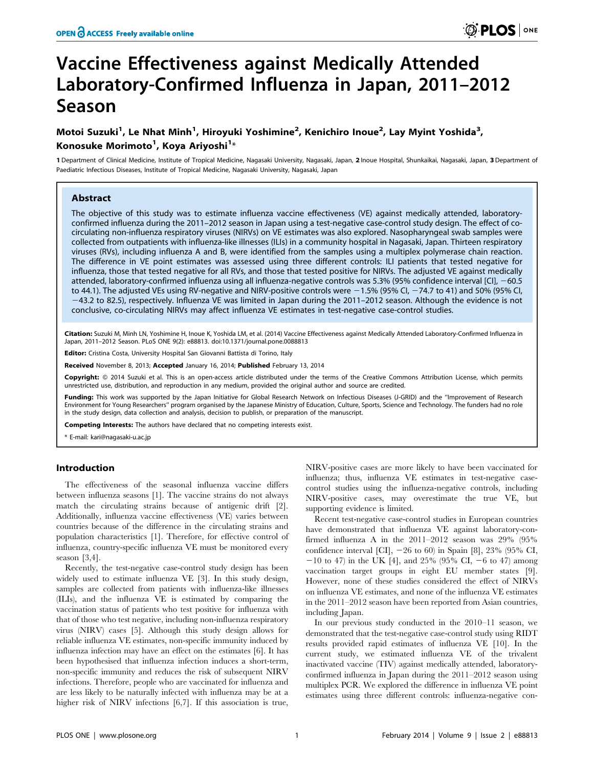# Vaccine Effectiveness against Medically Attended Laboratory-Confirmed Influenza in Japan, 2011–2012 Season

## Motoi Suzuki<sup>1</sup>, Le Nhat Minh<sup>1</sup>, Hiroyuki Yoshimine<sup>2</sup>, Kenichiro Inoue<sup>2</sup>, Lay Myint Yoshida<sup>3</sup>, Konosuke Morimoto<sup>1</sup>, Koya Ariyoshi<sup>1</sup>\*

1 Department of Clinical Medicine, Institute of Tropical Medicine, Nagasaki University, Nagasaki, Japan, 2 Inoue Hospital, Shunkaikai, Nagasaki, Japan, 3 Department of Paediatric Infectious Diseases, Institute of Tropical Medicine, Nagasaki University, Nagasaki, Japan

## Abstract

The objective of this study was to estimate influenza vaccine effectiveness (VE) against medically attended, laboratoryconfirmed influenza during the 2011–2012 season in Japan using a test-negative case-control study design. The effect of cocirculating non-influenza respiratory viruses (NIRVs) on VE estimates was also explored. Nasopharyngeal swab samples were collected from outpatients with influenza-like illnesses (ILIs) in a community hospital in Nagasaki, Japan. Thirteen respiratory viruses (RVs), including influenza A and B, were identified from the samples using a multiplex polymerase chain reaction. The difference in VE point estimates was assessed using three different controls: ILI patients that tested negative for influenza, those that tested negative for all RVs, and those that tested positive for NIRVs. The adjusted VE against medically attended, laboratory-confirmed influenza using all influenza-negative controls was 5.3% (95% confidence interval [CI], -60.5 to 44.1). The adjusted VEs using RV-negative and NIRV-positive controls were  $-1.5%$  (95% Cl,  $-74.7$  to 41) and 50% (95% Cl,  $-43.2$  to 82.5), respectively. Influenza VE was limited in Japan during the 2011–2012 season. Although the evidence is not conclusive, co-circulating NIRVs may affect influenza VE estimates in test-negative case-control studies.

Citation: Suzuki M, Minh LN, Yoshimine H, Inoue K, Yoshida LM, et al. (2014) Vaccine Effectiveness against Medically Attended Laboratory-Confirmed Influenza in Japan, 2011–2012 Season. PLoS ONE 9(2): e88813. doi:10.1371/journal.pone.0088813

Editor: Cristina Costa, University Hospital San Giovanni Battista di Torino, Italy

Received November 8, 2013; Accepted January 16, 2014; Published February 13, 2014

Copyright: @ 2014 Suzuki et al. This is an open-access article distributed under the terms of the [Creative Commons Attribution License](http://creativecommons.org/licenses/by/4.0/), which permits unrestricted use, distribution, and reproduction in any medium, provided the original author and source are credited.

Funding: This work was supported by the Japan Initiative for Global Research Network on Infectious Diseases (J-GRID) and the "Improvement of Research Environment for Young Researchers'' program organised by the Japanese Ministry of Education, Culture, Sports, Science and Technology. The funders had no role in the study design, data collection and analysis, decision to publish, or preparation of the manuscript.

Competing Interests: The authors have declared that no competing interests exist.

\* E-mail: kari@nagasaki-u.ac.jp

### Introduction

The effectiveness of the seasonal influenza vaccine differs between influenza seasons [1]. The vaccine strains do not always match the circulating strains because of antigenic drift [2]. Additionally, influenza vaccine effectiveness (VE) varies between countries because of the difference in the circulating strains and population characteristics [1]. Therefore, for effective control of influenza, country-specific influenza VE must be monitored every season [3,4].

Recently, the test-negative case-control study design has been widely used to estimate influenza VE [3]. In this study design, samples are collected from patients with influenza-like illnesses (ILIs), and the influenza VE is estimated by comparing the vaccination status of patients who test positive for influenza with that of those who test negative, including non-influenza respiratory virus (NIRV) cases [5]. Although this study design allows for reliable influenza VE estimates, non-specific immunity induced by influenza infection may have an effect on the estimates [6]. It has been hypothesised that influenza infection induces a short-term, non-specific immunity and reduces the risk of subsequent NIRV infections. Therefore, people who are vaccinated for influenza and are less likely to be naturally infected with influenza may be at a higher risk of NIRV infections [6,7]. If this association is true,

NIRV-positive cases are more likely to have been vaccinated for influenza; thus, influenza VE estimates in test-negative casecontrol studies using the influenza-negative controls, including NIRV-positive cases, may overestimate the true VE, but supporting evidence is limited.

Recent test-negative case-control studies in European countries have demonstrated that influenza VE against laboratory-confirmed influenza A in the 2011–2012 season was 29% (95% confidence interval  $\lbrack \text{CI} \rbrack$ ,  $-26$  to 60) in Spain  $\lbrack 8 \rbrack$ ,  $23\%$  (95% CI,  $-10$  to 47) in the UK [4], and 25% (95% CI,  $-6$  to 47) among vaccination target groups in eight EU member states [9]. However, none of these studies considered the effect of NIRVs on influenza VE estimates, and none of the influenza VE estimates in the 2011–2012 season have been reported from Asian countries, including Japan.

In our previous study conducted in the 2010–11 season, we demonstrated that the test-negative case-control study using RIDT results provided rapid estimates of influenza VE [10]. In the current study, we estimated influenza VE of the trivalent inactivated vaccine (TIV) against medically attended, laboratoryconfirmed influenza in Japan during the 2011–2012 season using multiplex PCR. We explored the difference in influenza VE point estimates using three different controls: influenza-negative con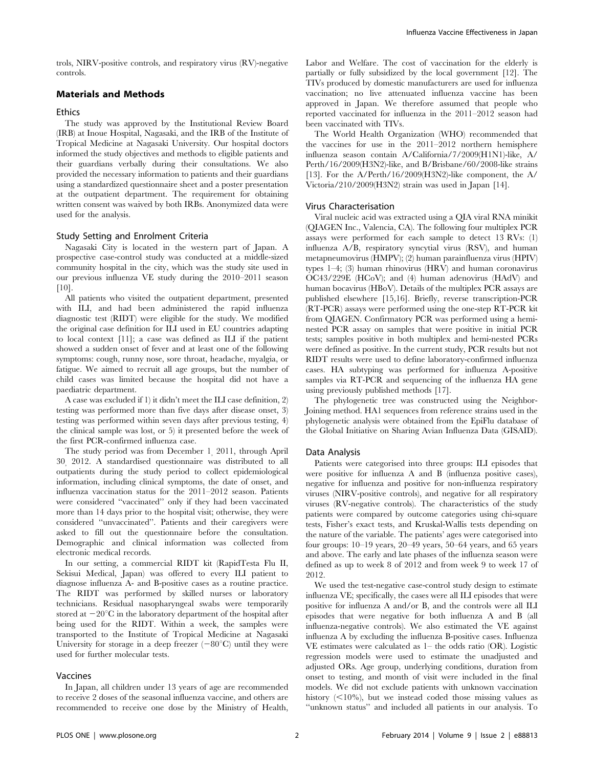trols, NIRV-positive controls, and respiratory virus (RV)-negative controls.

## Materials and Methods

#### Ethics

The study was approved by the Institutional Review Board (IRB) at Inoue Hospital, Nagasaki, and the IRB of the Institute of Tropical Medicine at Nagasaki University. Our hospital doctors informed the study objectives and methods to eligible patients and their guardians verbally during their consultations. We also provided the necessary information to patients and their guardians using a standardized questionnaire sheet and a poster presentation at the outpatient department. The requirement for obtaining written consent was waived by both IRBs. Anonymized data were used for the analysis.

#### Study Setting and Enrolment Criteria

Nagasaki City is located in the western part of Japan. A prospective case-control study was conducted at a middle-sized community hospital in the city, which was the study site used in our previous influenza VE study during the 2010–2011 season [10].

All patients who visited the outpatient department, presented with ILI, and had been administered the rapid influenza diagnostic test (RIDT) were eligible for the study. We modified the original case definition for ILI used in EU countries adapting to local context [11]; a case was defined as ILI if the patient showed a sudden onset of fever and at least one of the following symptoms: cough, runny nose, sore throat, headache, myalgia, or fatigue. We aimed to recruit all age groups, but the number of child cases was limited because the hospital did not have a paediatric department.

A case was excluded if 1) it didn't meet the ILI case definition, 2) testing was performed more than five days after disease onset, 3) testing was performed within seven days after previous testing, 4) the clinical sample was lost, or 5) it presented before the week of the first PCR-confirmed influenza case.

The study period was from December 1, 2011, through April 30, 2012. A standardised questionnaire was distributed to all outpatients during the study period to collect epidemiological information, including clinical symptoms, the date of onset, and influenza vaccination status for the 2011–2012 season. Patients were considered ''vaccinated'' only if they had been vaccinated more than 14 days prior to the hospital visit; otherwise, they were considered ''unvaccinated''. Patients and their caregivers were asked to fill out the questionnaire before the consultation. Demographic and clinical information was collected from electronic medical records.

In our setting, a commercial RIDT kit (RapidTesta Flu II, Sekisui Medical, Japan) was offered to every ILI patient to diagnose influenza A- and B-positive cases as a routine practice. The RIDT was performed by skilled nurses or laboratory technicians. Residual nasopharyngeal swabs were temporarily stored at  $-20^{\circ}$ C in the laboratory department of the hospital after being used for the RIDT. Within a week, the samples were transported to the Institute of Tropical Medicine at Nagasaki University for storage in a deep freezer  $(-80^{\circ}C)$  until they were used for further molecular tests.

#### Vaccines

In Japan, all children under 13 years of age are recommended to receive 2 doses of the seasonal influenza vaccine, and others are recommended to receive one dose by the Ministry of Health, Labor and Welfare. The cost of vaccination for the elderly is partially or fully subsidized by the local government [12]. The TIVs produced by domestic manufacturers are used for influenza vaccination; no live attenuated influenza vaccine has been approved in Japan. We therefore assumed that people who reported vaccinated for influenza in the 2011–2012 season had been vaccinated with TIVs.

The World Health Organization (WHO) recommended that the vaccines for use in the 2011–2012 northern hemisphere influenza season contain A/California/7/2009(H1N1)-like, A/ Perth/16/2009(H3N2)-like, and B/Brisbane/60/2008-like strains [13]. For the A/Perth/16/2009(H3N2)-like component, the A/ Victoria/210/2009(H3N2) strain was used in Japan [14].

#### Virus Characterisation

Viral nucleic acid was extracted using a QIA viral RNA minikit (QIAGEN Inc., Valencia, CA). The following four multiplex PCR assays were performed for each sample to detect 13 RVs: (1) influenza A/B, respiratory syncytial virus (RSV), and human metapneumovirus (HMPV); (2) human parainfluenza virus (HPIV) types 1–4; (3) human rhinovirus (HRV) and human coronavirus OC43/229E (HCoV); and (4) human adenovirus (HAdV) and human bocavirus (HBoV). Details of the multiplex PCR assays are published elsewhere [15,16]. Briefly, reverse transcription-PCR (RT-PCR) assays were performed using the one-step RT-PCR kit from QIAGEN. Confirmatory PCR was performed using a heminested PCR assay on samples that were positive in initial PCR tests; samples positive in both multiplex and hemi-nested PCRs were defined as positive. In the current study, PCR results but not RIDT results were used to define laboratory-confirmed influenza cases. HA subtyping was performed for influenza A-positive samples via RT-PCR and sequencing of the influenza HA gene using previously published methods [17].

The phylogenetic tree was constructed using the Neighbor-Joining method. HA1 sequences from reference strains used in the phylogenetic analysis were obtained from the EpiFlu database of the Global Initiative on Sharing Avian Influenza Data (GISAID).

#### Data Analysis

Patients were categorised into three groups: ILI episodes that were positive for influenza A and B (influenza positive cases), negative for influenza and positive for non-influenza respiratory viruses (NIRV-positive controls), and negative for all respiratory viruses (RV-negative controls). The characteristics of the study patients were compared by outcome categories using chi-square tests, Fisher's exact tests, and Kruskal-Wallis tests depending on the nature of the variable. The patients' ages were categorised into four groups: 10–19 years, 20–49 years, 50–64 years, and 65 years and above. The early and late phases of the influenza season were defined as up to week 8 of 2012 and from week 9 to week 17 of 2012.

We used the test-negative case-control study design to estimate influenza VE; specifically, the cases were all ILI episodes that were positive for influenza A and/or B, and the controls were all ILI episodes that were negative for both influenza A and B (all influenza-negative controls). We also estimated the VE against influenza A by excluding the influenza B-positive cases. Influenza VE estimates were calculated as 1– the odds ratio (OR). Logistic regression models were used to estimate the unadjusted and adjusted ORs. Age group, underlying conditions, duration from onset to testing, and month of visit were included in the final models. We did not exclude patients with unknown vaccination history  $(<10\%)$ , but we instead coded those missing values as ''unknown status'' and included all patients in our analysis. To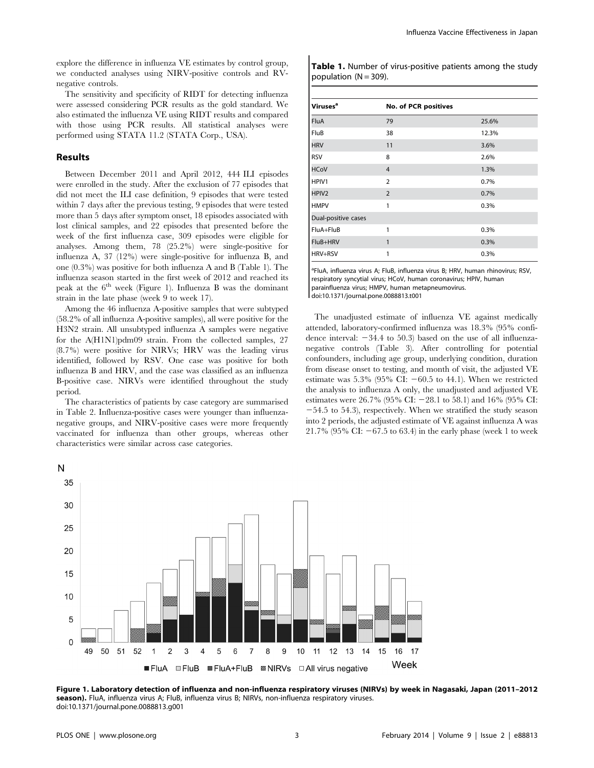explore the difference in influenza VE estimates by control group, we conducted analyses using NIRV-positive controls and RVnegative controls.

The sensitivity and specificity of RIDT for detecting influenza were assessed considering PCR results as the gold standard. We also estimated the influenza VE using RIDT results and compared with those using PCR results. All statistical analyses were performed using STATA 11.2 (STATA Corp., USA).

#### Results

Between December 2011 and April 2012, 444 ILI episodes were enrolled in the study. After the exclusion of 77 episodes that did not meet the ILI case definition, 9 episodes that were tested within 7 days after the previous testing, 9 episodes that were tested more than 5 days after symptom onset, 18 episodes associated with lost clinical samples, and 22 episodes that presented before the week of the first influenza case, 309 episodes were eligible for analyses. Among them, 78 (25.2%) were single-positive for influenza A, 37 (12%) were single-positive for influenza B, and one (0.3%) was positive for both influenza A and B (Table 1). The influenza season started in the first week of 2012 and reached its peak at the  $6<sup>th</sup>$  week (Figure 1). Influenza B was the dominant strain in the late phase (week 9 to week 17).

Among the 46 influenza A-positive samples that were subtyped (58.2% of all influenza A-positive samples), all were positive for the H3N2 strain. All unsubtyped influenza A samples were negative for the A(H1N1)pdm09 strain. From the collected samples, 27 (8.7%) were positive for NIRVs; HRV was the leading virus identified, followed by RSV. One case was positive for both influenza B and HRV, and the case was classified as an influenza B-positive case. NIRVs were identified throughout the study period.

The characteristics of patients by case category are summarised in Table 2. Influenza-positive cases were younger than influenzanegative groups, and NIRV-positive cases were more frequently vaccinated for influenza than other groups, whereas other characteristics were similar across case categories.

Table 1. Number of virus-positive patients among the study population  $(N = 309)$ .

| <b>Viruses<sup>a</sup></b> | No. of PCR positives |       |
|----------------------------|----------------------|-------|
| <b>FluA</b>                | 79                   | 25.6% |
| FluB                       | 38                   | 12.3% |
| <b>HRV</b>                 | 11                   | 3.6%  |
| <b>RSV</b>                 | 8                    | 2.6%  |
| <b>HCoV</b>                | $\overline{4}$       | 1.3%  |
| HPIV1                      | $\overline{2}$       | 0.7%  |
| HPIV <sub>2</sub>          | $\overline{2}$       | 0.7%  |
| <b>HMPV</b>                | 1                    | 0.3%  |
| Dual-positive cases        |                      |       |
| FluA+FluB                  | 1                    | 0.3%  |
| FluB+HRV                   | 1                    | 0.3%  |
| HRV+RSV                    | 1                    | 0.3%  |

<sup>a</sup>FluA, influenza virus A; FluB, influenza virus B; HRV, human rhinovirus; RSV, respiratory syncytial virus; HCoV, human coronavirus; HPIV, human parainfluenza virus; HMPV, human metapneumovirus. doi:10.1371/journal.pone.0088813.t001

The unadjusted estimate of influenza VE against medically attended, laboratory-confirmed influenza was 18.3% (95% confidence interval:  $-34.4$  to 50.3) based on the use of all influenzanegative controls (Table 3). After controlling for potential confounders, including age group, underlying condition, duration from disease onset to testing, and month of visit, the adjusted VE estimate was  $5.3\%$  (95% CI:  $-60.5$  to 44.1). When we restricted the analysis to influenza A only, the unadjusted and adjusted VE estimates were 26.7% (95% CI:  $-28.1$  to 58.1) and 16% (95% CI:  $-54.5$  to 54.3), respectively. When we stratified the study season into 2 periods, the adjusted estimate of VE against influenza A was 21.7% (95% CI:  $-67.5$  to 63.4) in the early phase (week 1 to week



Figure 1. Laboratory detection of influenza and non-influenza respiratory viruses (NIRVs) by week in Nagasaki, Japan (2011–2012 season). FluA, influenza virus A; FluB, influenza virus B; NIRVs, non-influenza respiratory viruses. doi:10.1371/journal.pone.0088813.g001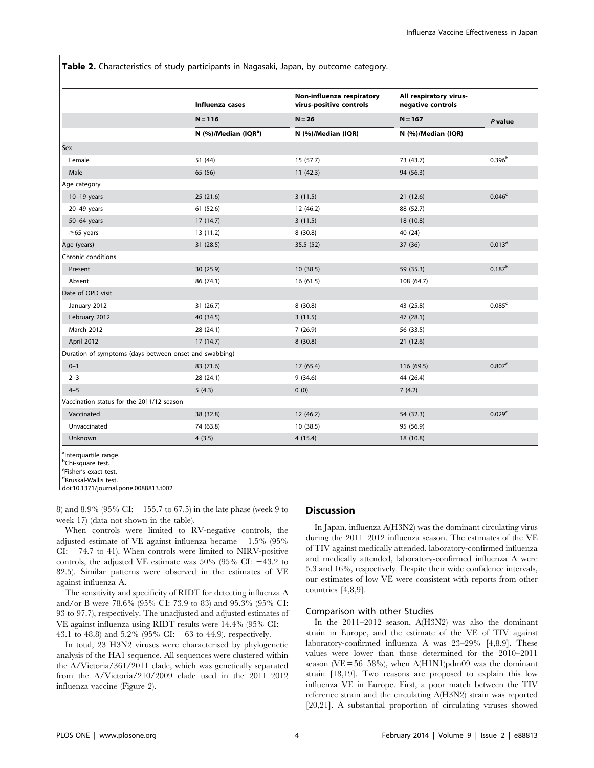Table 2. Characteristics of study participants in Nagasaki, Japan, by outcome category.

|                                                        | Influenza cases           | Non-influenza respiratory<br>virus-positive controls | All respiratory virus-<br>negative controls | $P$ value          |
|--------------------------------------------------------|---------------------------|------------------------------------------------------|---------------------------------------------|--------------------|
|                                                        | $N = 116$                 | $N = 26$                                             | $N = 167$                                   |                    |
|                                                        | N $(%)$ /Median $(IQR^a)$ | N (%)/Median (IQR)                                   | N (%)/Median (IQR)                          |                    |
| Sex                                                    |                           |                                                      |                                             |                    |
| Female                                                 | 51 (44)                   | 15(57.7)                                             | 73 (43.7)                                   | 0.396 <sup>b</sup> |
| Male                                                   | 65 (56)                   | 11(42.3)                                             | 94 (56.3)                                   |                    |
| Age category                                           |                           |                                                      |                                             |                    |
| $10-19$ years                                          | 25(21.6)                  | 3(11.5)                                              | 21(12.6)                                    | 0.046 <sup>c</sup> |
| $20-49$ years                                          | 61 (52.6)                 | 12(46.2)                                             | 88 (52.7)                                   |                    |
| $50-64$ years                                          | 17(14.7)                  | 3(11.5)                                              | 18 (10.8)                                   |                    |
| $\geq$ 65 years                                        | 13 (11.2)                 | 8(30.8)                                              | 40 (24)                                     |                    |
| Age (years)                                            | 31 (28.5)                 | 35.5 (52)                                            | 37 (36)                                     | 0.013 <sup>d</sup> |
| Chronic conditions                                     |                           |                                                      |                                             |                    |
| Present                                                | 30 (25.9)                 | 10(38.5)                                             | 59 (35.3)                                   | $0.187^{b}$        |
| Absent                                                 | 86 (74.1)                 | 16(61.5)                                             | 108 (64.7)                                  |                    |
| Date of OPD visit                                      |                           |                                                      |                                             |                    |
| January 2012                                           | 31(26.7)                  | 8(30.8)                                              | 43 (25.8)                                   | 0.085 <sup>c</sup> |
| February 2012                                          | 40 (34.5)                 | 3(11.5)                                              | 47 (28.1)                                   |                    |
| <b>March 2012</b>                                      | 28 (24.1)                 | 7(26.9)                                              | 56 (33.5)                                   |                    |
| April 2012                                             | 17(14.7)                  | 8(30.8)                                              | 21(12.6)                                    |                    |
| Duration of symptoms (days between onset and swabbing) |                           |                                                      |                                             |                    |
| $0 - 1$                                                | 83 (71.6)                 | 17(65.4)                                             | 116 (69.5)                                  | 0.807c             |
| $2 - 3$                                                | 28 (24.1)                 | 9(34.6)                                              | 44 (26.4)                                   |                    |
| $4 - 5$                                                | 5(4.3)                    | 0(0)                                                 | 7(4.2)                                      |                    |
| Vaccination status for the 2011/12 season              |                           |                                                      |                                             |                    |
| Vaccinated                                             | 38 (32.8)                 | 12(46.2)                                             | 54 (32.3)                                   | 0.029 <sup>c</sup> |
| Unvaccinated                                           | 74 (63.8)                 | 10(38.5)                                             | 95 (56.9)                                   |                    |
| Unknown                                                | 4(3.5)                    | 4(15.4)                                              | 18 (10.8)                                   |                    |

<sup>a</sup>Interquartile range.

<sup>b</sup>Chi-square test.

<sup>c</sup>Fisher's exact test.

doi:10.1371/journal.pone.0088813.t002

8) and 8.9% (95% CI:  $-155.7$  to 67.5) in the late phase (week 9 to week 17) (data not shown in the table).

When controls were limited to RV-negative controls, the adjusted estimate of VE against influenza became  $-1.5\%$  (95% CI:  $-74.7$  to 41). When controls were limited to NIRV-positive controls, the adjusted VE estimate was  $50\%$  (95% CI:  $-43.2$  to 82.5). Similar patterns were observed in the estimates of VE against influenza A.

The sensitivity and specificity of RIDT for detecting influenza A and/or B were 78.6% (95% CI: 73.9 to 83) and 95.3% (95% CI: 93 to 97.7), respectively. The unadjusted and adjusted estimates of VE against influenza using RIDT results were  $14.4\%$  (95% CI:  $-$ 43.1 to 48.8) and 5.2% (95% CI:  $-63$  to 44.9), respectively.

In total, 23 H3N2 viruses were characterised by phylogenetic analysis of the HA1 sequence. All sequences were clustered within the A/Victoria/361/2011 clade, which was genetically separated from the A/Victoria/210/2009 clade used in the 2011–2012 influenza vaccine (Figure 2).

#### **Discussion**

In Japan, influenza A(H3N2) was the dominant circulating virus during the 2011–2012 influenza season. The estimates of the VE of TIV against medically attended, laboratory-confirmed influenza and medically attended, laboratory-confirmed influenza A were 5.3 and 16%, respectively. Despite their wide confidence intervals, our estimates of low VE were consistent with reports from other countries [4,8,9].

#### Comparison with other Studies

In the 2011–2012 season, A(H3N2) was also the dominant strain in Europe, and the estimate of the VE of TIV against laboratory-confirmed influenza A was 23–29% [4,8,9]. These values were lower than those determined for the 2010–2011 season (VE =  $56-58\%$ ), when A(H1N1)pdm09 was the dominant strain [18,19]. Two reasons are proposed to explain this low influenza VE in Europe. First, a poor match between the TIV reference strain and the circulating A(H3N2) strain was reported [20,21]. A substantial proportion of circulating viruses showed

<sup>&</sup>lt;sup>d</sup>Kruskal-Wallis test.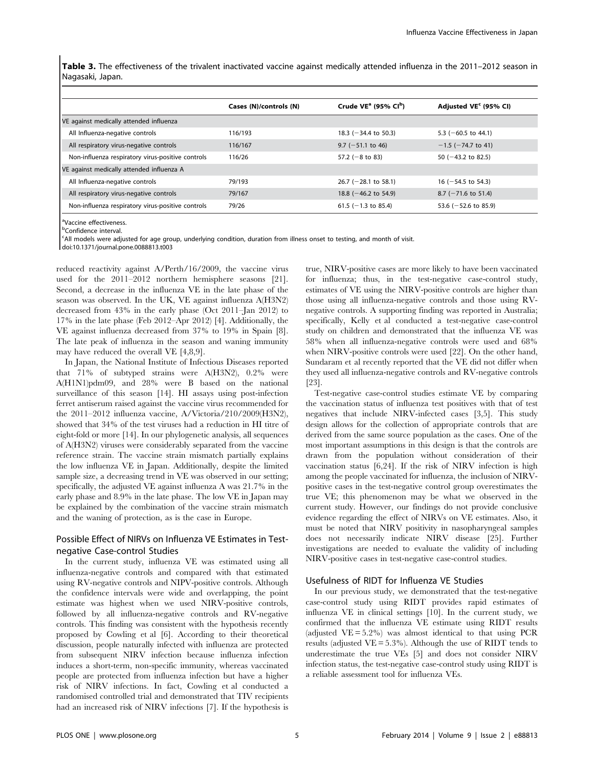Table 3. The effectiveness of the trivalent inactivated vaccine against medically attended influenza in the 2011–2012 season in Nagasaki, Japan.

|                                                   | Cases (N)/controls (N) | Crude $VE^a$ (95% CI <sup>b</sup> ) | Adjusted VE <sup>c</sup> (95% CI) |
|---------------------------------------------------|------------------------|-------------------------------------|-----------------------------------|
| VE against medically attended influenza           |                        |                                     |                                   |
| All Influenza-negative controls                   | 116/193                | 18.3 ( $-34.4$ to 50.3)             | 5.3 ( $-60.5$ to 44.1)            |
| All respiratory virus-negative controls           | 116/167                | $9.7$ (-51.1 to 46)                 | $-1.5$ ( $-74.7$ to 41)           |
| Non-influenza respiratory virus-positive controls | 116/26                 | 57.2 ( $-8$ to 83)                  | 50 $(-43.2 \text{ to } 82.5)$     |
| VE against medically attended influenza A         |                        |                                     |                                   |
| All Influenza-negative controls                   | 79/193                 | 26.7 ( $-28.1$ to 58.1)             | 16 ( $-54.5$ to 54.3)             |
| All respiratory virus-negative controls           | 79/167                 | 18.8 $(-46.2 \text{ to } 54.9)$     | $8.7$ (-71.6 to 51.4)             |
| Non-influenza respiratory virus-positive controls | 79/26                  | $61.5$ (-1.3 to 85.4)               | 53.6 $(-52.6 \text{ to } 85.9)$   |

<sup>a</sup>Vaccine effectiveness.

<sup>b</sup>Confidence interval.

c All models were adjusted for age group, underlying condition, duration from illness onset to testing, and month of visit.

doi:10.1371/journal.pone.0088813.t003

reduced reactivity against A/Perth/16/2009, the vaccine virus used for the 2011–2012 northern hemisphere seasons [21]. Second, a decrease in the influenza VE in the late phase of the season was observed. In the UK, VE against influenza A(H3N2) decreased from 43% in the early phase (Oct 2011–Jan 2012) to 17% in the late phase (Feb 2012–Apr 2012) [4]. Additionally, the VE against influenza decreased from 37% to 19% in Spain [8]. The late peak of influenza in the season and waning immunity may have reduced the overall VE [4,8,9].

In Japan, the National Institute of Infectious Diseases reported that 71% of subtyped strains were A(H3N2), 0.2% were A(H1N1)pdm09, and 28% were B based on the national surveillance of this season [14]. HI assays using post-infection ferret antiserum raised against the vaccine virus recommended for the 2011–2012 influenza vaccine, A/Victoria/210/2009(H3N2), showed that 34% of the test viruses had a reduction in HI titre of eight-fold or more [14]. In our phylogenetic analysis, all sequences of A(H3N2) viruses were considerably separated from the vaccine reference strain. The vaccine strain mismatch partially explains the low influenza VE in Japan. Additionally, despite the limited sample size, a decreasing trend in VE was observed in our setting; specifically, the adjusted VE against influenza A was 21.7% in the early phase and 8.9% in the late phase. The low VE in Japan may be explained by the combination of the vaccine strain mismatch and the waning of protection, as is the case in Europe.

## Possible Effect of NIRVs on Influenza VE Estimates in Testnegative Case-control Studies

In the current study, influenza VE was estimated using all influenza-negative controls and compared with that estimated using RV-negative controls and NIPV-positive controls. Although the confidence intervals were wide and overlapping, the point estimate was highest when we used NIRV-positive controls, followed by all influenza-negative controls and RV-negative controls. This finding was consistent with the hypothesis recently proposed by Cowling et al [6]. According to their theoretical discussion, people naturally infected with influenza are protected from subsequent NIRV infection because influenza infection induces a short-term, non-specific immunity, whereas vaccinated people are protected from influenza infection but have a higher risk of NIRV infections. In fact, Cowling et al conducted a randomised controlled trial and demonstrated that TIV recipients had an increased risk of NIRV infections [7]. If the hypothesis is true, NIRV-positive cases are more likely to have been vaccinated for influenza; thus, in the test-negative case-control study, estimates of VE using the NIRV-positive controls are higher than those using all influenza-negative controls and those using RVnegative controls. A supporting finding was reported in Australia; specifically, Kelly et al conducted a test-negative case-control study on children and demonstrated that the influenza VE was 58% when all influenza-negative controls were used and 68% when NIRV-positive controls were used [22]. On the other hand, Sundaram et al recently reported that the VE did not differ when they used all influenza-negative controls and RV-negative controls [23].

Test-negative case-control studies estimate VE by comparing the vaccination status of influenza test positives with that of test negatives that include NIRV-infected cases [3,5]. This study design allows for the collection of appropriate controls that are derived from the same source population as the cases. One of the most important assumptions in this design is that the controls are drawn from the population without consideration of their vaccination status [6,24]. If the risk of NIRV infection is high among the people vaccinated for influenza, the inclusion of NIRVpositive cases in the test-negative control group overestimates the true VE; this phenomenon may be what we observed in the current study. However, our findings do not provide conclusive evidence regarding the effect of NIRVs on VE estimates. Also, it must be noted that NIRV positivity in nasopharyngeal samples does not necessarily indicate NIRV disease [25]. Further investigations are needed to evaluate the validity of including NIRV-positive cases in test-negative case-control studies.

#### Usefulness of RIDT for Influenza VE Studies

In our previous study, we demonstrated that the test-negative case-control study using RIDT provides rapid estimates of influenza VE in clinical settings [10]. In the current study, we confirmed that the influenza VE estimate using RIDT results (adjusted  $VE = 5.2\%$ ) was almost identical to that using PCR results (adjusted VE = 5.3%). Although the use of RIDT tends to underestimate the true VEs [5] and does not consider NIRV infection status, the test-negative case-control study using RIDT is a reliable assessment tool for influenza VEs.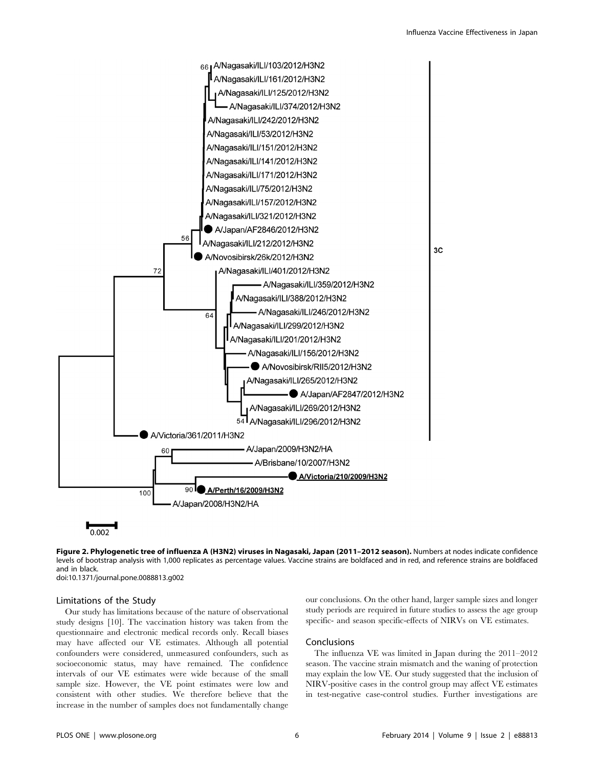

Figure 2. Phylogenetic tree of influenza A (H3N2) viruses in Nagasaki, Japan (2011–2012 season). Numbers at nodes indicate confidence levels of bootstrap analysis with 1,000 replicates as percentage values. Vaccine strains are boldfaced and in red, and reference strains are boldfaced and in black. doi:10.1371/journal.pone.0088813.g002

#### Limitations of the Study

Our study has limitations because of the nature of observational study designs [10]. The vaccination history was taken from the questionnaire and electronic medical records only. Recall biases may have affected our VE estimates. Although all potential confounders were considered, unmeasured confounders, such as socioeconomic status, may have remained. The confidence intervals of our VE estimates were wide because of the small sample size. However, the VE point estimates were low and consistent with other studies. We therefore believe that the increase in the number of samples does not fundamentally change

our conclusions. On the other hand, larger sample sizes and longer study periods are required in future studies to assess the age group specific- and season specific-effects of NIRVs on VE estimates.

#### Conclusions

The influenza VE was limited in Japan during the 2011–2012 season. The vaccine strain mismatch and the waning of protection may explain the low VE. Our study suggested that the inclusion of NIRV-positive cases in the control group may affect VE estimates in test-negative case-control studies. Further investigations are